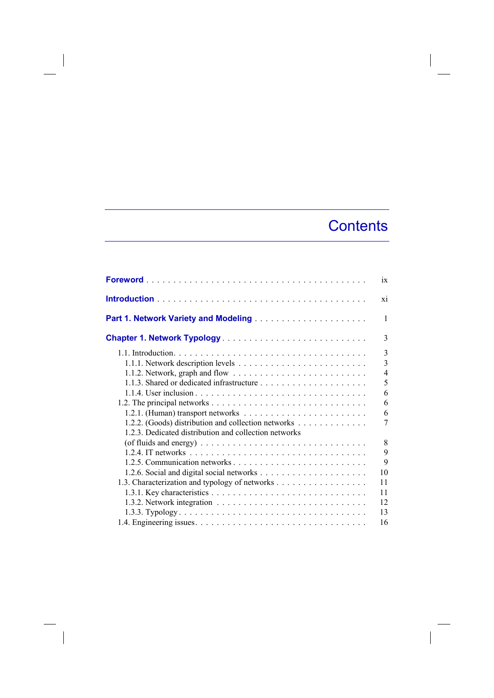## **Contents**

 $\overline{\phantom{a}}$ 

|                                                       | ix             |
|-------------------------------------------------------|----------------|
|                                                       | X1             |
|                                                       | 1              |
|                                                       | 3              |
|                                                       | 3              |
|                                                       | $\overline{3}$ |
|                                                       | $\overline{4}$ |
|                                                       | 5              |
|                                                       | 6              |
|                                                       | 6              |
|                                                       | 6              |
| 1.2.2. (Goods) distribution and collection networks   | 7              |
| 1.2.3. Dedicated distribution and collection networks |                |
|                                                       | 8              |
|                                                       | 9              |
|                                                       | 9              |
|                                                       | 10             |
| 1.3. Characterization and typology of networks        | 11             |
|                                                       | 11             |
|                                                       |                |
|                                                       | 12             |
|                                                       | 13             |
|                                                       | 16             |

 $\begin{array}{c} \hline \end{array}$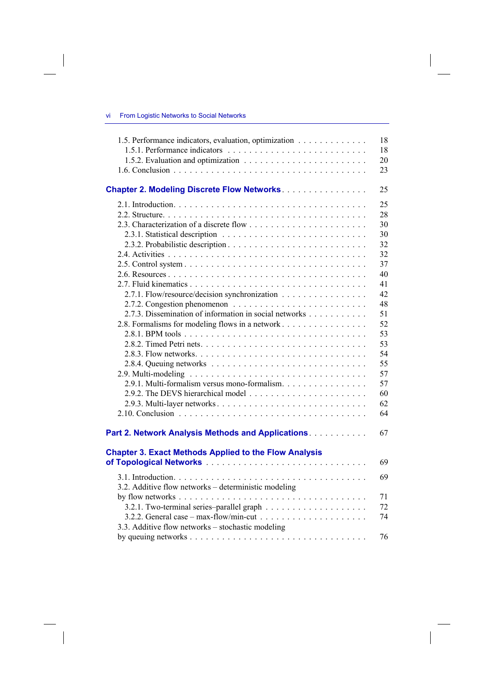$\overline{\phantom{a}}$ 

| 1.5. Performance indicators, evaluation, optimization        | 18 |
|--------------------------------------------------------------|----|
|                                                              | 18 |
|                                                              | 20 |
|                                                              | 23 |
| <b>Chapter 2. Modeling Discrete Flow Networks.</b>           | 25 |
|                                                              | 25 |
|                                                              | 28 |
|                                                              | 30 |
|                                                              | 30 |
|                                                              | 32 |
|                                                              | 32 |
|                                                              | 37 |
|                                                              | 40 |
|                                                              | 41 |
| 2.7.1. Flow/resource/decision synchronization                | 42 |
|                                                              | 48 |
| 2.7.3. Dissemination of information in social networks       | 51 |
| 2.8. Formalisms for modeling flows in a network              | 52 |
|                                                              | 53 |
|                                                              | 53 |
|                                                              | 54 |
|                                                              | 55 |
|                                                              | 57 |
| 2.9.1. Multi-formalism versus mono-formalism.                | 57 |
|                                                              | 60 |
|                                                              | 62 |
|                                                              | 64 |
|                                                              |    |
| Part 2. Network Analysis Methods and Applications.           | 67 |
| <b>Chapter 3. Exact Methods Applied to the Flow Analysis</b> |    |
|                                                              | 69 |
|                                                              | 69 |
| 3.2. Additive flow networks – deterministic modeling         |    |
|                                                              | 71 |
|                                                              | 72 |
|                                                              | 74 |
| 3.3. Additive flow networks – stochastic modeling            |    |
|                                                              |    |
|                                                              | 76 |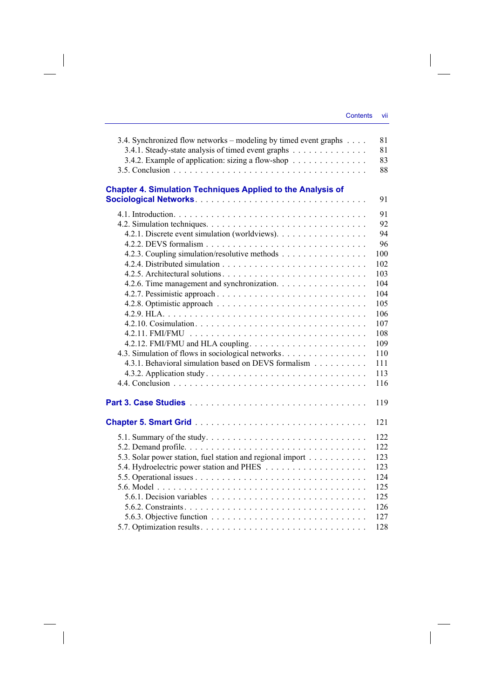$\overline{\phantom{a}}$ 

| <b>Chapter 4. Simulation Techniques Applied to the Analysis of</b><br>91<br>91<br>92<br>94<br>4.2.1. Discrete event simulation (worldviews).<br>96<br>4.2.3. Coupling simulation/resolutive methods<br>100<br>102<br>103<br>4.2.6. Time management and synchronization.<br>104<br>104<br>105<br>106<br>107<br>108<br>109<br>4.3. Simulation of flows in sociological networks.<br>110<br>4.3.1. Behavioral simulation based on DEVS formalism<br>111<br>113<br>116<br>119<br>121<br>122 |
|-----------------------------------------------------------------------------------------------------------------------------------------------------------------------------------------------------------------------------------------------------------------------------------------------------------------------------------------------------------------------------------------------------------------------------------------------------------------------------------------|
|                                                                                                                                                                                                                                                                                                                                                                                                                                                                                         |
|                                                                                                                                                                                                                                                                                                                                                                                                                                                                                         |
|                                                                                                                                                                                                                                                                                                                                                                                                                                                                                         |
|                                                                                                                                                                                                                                                                                                                                                                                                                                                                                         |
|                                                                                                                                                                                                                                                                                                                                                                                                                                                                                         |
|                                                                                                                                                                                                                                                                                                                                                                                                                                                                                         |
|                                                                                                                                                                                                                                                                                                                                                                                                                                                                                         |
|                                                                                                                                                                                                                                                                                                                                                                                                                                                                                         |
|                                                                                                                                                                                                                                                                                                                                                                                                                                                                                         |
|                                                                                                                                                                                                                                                                                                                                                                                                                                                                                         |
|                                                                                                                                                                                                                                                                                                                                                                                                                                                                                         |
|                                                                                                                                                                                                                                                                                                                                                                                                                                                                                         |
|                                                                                                                                                                                                                                                                                                                                                                                                                                                                                         |
|                                                                                                                                                                                                                                                                                                                                                                                                                                                                                         |
|                                                                                                                                                                                                                                                                                                                                                                                                                                                                                         |
|                                                                                                                                                                                                                                                                                                                                                                                                                                                                                         |
|                                                                                                                                                                                                                                                                                                                                                                                                                                                                                         |
|                                                                                                                                                                                                                                                                                                                                                                                                                                                                                         |
|                                                                                                                                                                                                                                                                                                                                                                                                                                                                                         |
|                                                                                                                                                                                                                                                                                                                                                                                                                                                                                         |
|                                                                                                                                                                                                                                                                                                                                                                                                                                                                                         |
|                                                                                                                                                                                                                                                                                                                                                                                                                                                                                         |
|                                                                                                                                                                                                                                                                                                                                                                                                                                                                                         |
| 122                                                                                                                                                                                                                                                                                                                                                                                                                                                                                     |
| 5.3. Solar power station, fuel station and regional import<br>123                                                                                                                                                                                                                                                                                                                                                                                                                       |
| 123                                                                                                                                                                                                                                                                                                                                                                                                                                                                                     |
| 124                                                                                                                                                                                                                                                                                                                                                                                                                                                                                     |
| 125                                                                                                                                                                                                                                                                                                                                                                                                                                                                                     |
| 125                                                                                                                                                                                                                                                                                                                                                                                                                                                                                     |
| 126                                                                                                                                                                                                                                                                                                                                                                                                                                                                                     |
| 127                                                                                                                                                                                                                                                                                                                                                                                                                                                                                     |
| 128                                                                                                                                                                                                                                                                                                                                                                                                                                                                                     |

 $\overline{\phantom{a}}$